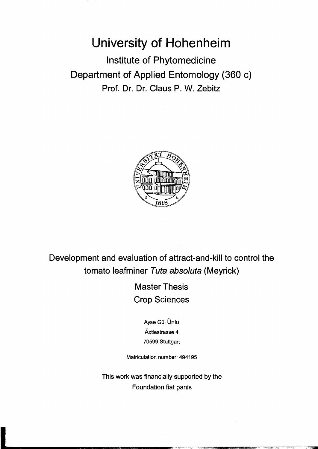## **University of Hohenheim**

Institute of Phytomedicine Department of Applied Entomology (360 c) Prof. Dr. Dr. Claus P. W. Zebitz



Development and evaluation of attract-and-kill to control the tomato leafminer Tuta absoluta (Meyrick)

> Master Thesis Crop Sciences

> > Ayse Gül Ünlü Äxtlestrasse 4 70599 Stuttgart

Matriculation number: 494195

This work was financially supported by the Foundation fiat panis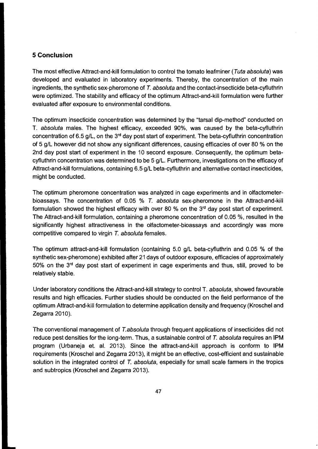## **5 Conclusion**

The most effective Attract-and-kill formulation to control the tomato leafminer (Tuta absoluta) was developed and evaluated in laboratory experiments. Thereby, the concentration of the main ingredients, the synthetic sex-pheromone of T. absoluta and the contact-insecticide beta-cyfluthrin were optimized. The stability and efficacy of the optimum Attract-and-kill formulation were further evaluated after exposure to environmental conditions.

The optimum insecticide concentration was determined by the "tarsal dip-method" conducted on T. absoluta males. The highest efficacy, exceeded 90%, was caused by the beta-cyfluthrin concentration of 6.5 g/L, on the  $3<sup>rd</sup>$  day post start of experiment. The beta-cyfluthrin concentration of 5 g/L however did not show any significant differences, causing efficacies of over 80 % on the 2nd day post start of experiment in the 10 second exposure. Consequently, the optimum betacyfluthrin concentration was determined to be 5 g/L. Furthermore, investigations on the efficacy of Attract-and-kill formulations, containing 6.5 g/L beta-cyfluthrin and alternative contact insecticides, might be conducted.

The optimum pheromone concentration was analyzed in cage experiments and in olfactometerbioassays. The concentration of 0.05 % T. absoluta sex-pheromone in the Attract-and-kill formulation showed the highest efficacy with over 80 % on the  $3<sup>rd</sup>$  day post start of experiment. The Attract-and-kill formulation, containing a pheromone concentration of 0.05 %, resulted in the significantly highest attractiveness in the olfactometer-bioassays and accordingly was more competitive compared to virgin T. absoluta females.

The optimum attract-and-kill formulation (containing 5.0 g/L beta-cyfluthrin and 0.05 % of the synthetic sex-pheromone) exhibited after 21 days of outdoor exposure, efficacies of approximately 50% on the 3<sup>rd</sup> day post start of experiment in cage experiments and thus, still, proved to be relatively stable.

Under laboratory conditions the Attract-and-kill strategy to control T. absoluta, showed favourable results and high efficacies. Further studies should be conducted on the fjeld performance of the optimum Attract-and-kill formulation to determine application density and frequency (Kroschel and Zegarra 2010).

The conventional management of T.absoluta through frequent applications of insecticides did not reduce pest densities for the long-term. Thus, a sustainable control of T. absoluta requires an IPM program (Urbaneja e1. al. 2013). Since the attract-and-kill approach is conform to IPM requirements (Kroschel and Zegarra 2013), it might be an effective, cost-efficient and sustainable solution in the integrated control of T. absoluta, especially for small scale farmers in the tropics and subtropics (Kroschel and Zegarra 2013).